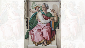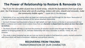#### **The Power of Relationship to Restore & Renovate Us**

*"You'll use the old rubble of past lives to build anew, rebuild the foundations from out of your*  past. You'll be known as those who can fix anything, restore old ruins, rebuild and renovate, make *the community livable again." – Isaiah 58:12 (The Message)*

- Restoration of our soul comes when we begin our relationship with God through His Son Jesus. Restoration of our heart and mind continues because of this secure attached relationship.
- So much Christian teaching tends to focus on right beliefs and right choices as the key to personal growth but biblical evidence and modern brain science show that our *character is shaped more by whom we love than what we believe.*
- The Book of Isaiah will help us see how the promise of salvation would come through the Messiah. But in addition to bringing pardon for sin, intimate relationship with Jesus renovates us wholly—mind, will, and emotion.
- This study is about showing how we can train our brains to relate to God based on a joyful, mutual connection with Jesus which will lead to emotional, relational, and spiritual maturity.

#### **RECOVERING FROM TRAUMA**  TRANSFORMATION OF OUR CHARACTER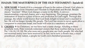#### **ISAIAH: THE MASTERPIECE OF THE OLD TESTAMENT– Isaiah 62**

- **1. NEW NAME**  $\rightarrow$  Isaiah 62:4 is a message of hope to the nation of Israel. God plans to change its name from Deserted and Desolate to Hephzibah and Beulah. Beulah means "married." When God changes a name in the Bible, it conveys transformation, a second chance, and a new beginning. This passage promises the restoration of Israel to a place of favor and protection in God's sight. Through this passage, the whole world knows that God finds delight in Israel and is married to her. He will no longer forsake His people. The Lord has sworn to never again allow a conqueror to overcome Israel, and Israel will exist in a sanctuary of safety.
- **2. CHOSEN**  $\rightarrow$  As Christians, we too have had a name change. Alluding to these prophetic texts, Peter reminds redeemed sinners that these realities belong to us (1 Pet. 1:16–18; 2:9, 10). We who were not a people now are God's people. We who had not received mercy now have received it. In fact, we're now a chosen race, a royal priesthood, a holy nation, a people for God's own cherished possession.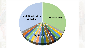#### **My Intimate Walk With God My Community**

My 19 Brain Skills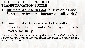## **RESTORED: THE PIECES OF THE TRANSFORMATION PUZZLE**

**1. Intimate Walk with God** → Developing and fostering an intimate, interactive walk with God.

**2. Community** → Being a part of a multigenerational community. Not in age but in the level of maturity.

*"In Spiritual formation we are aiming at a character and life that is so shaped that the deeds of Christ routinely and easily come from what is inside." - Dallas Willard*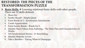## **RESTORED: THE PIECES OF THE TRANSFORMATION PUZZLE**

- **3. Brain Skills** → Learning relational-brain skills with other people. There are 19 skills defined.
	- 1. Share Joy.
	- 2. Soothe Myself Simple Quiet.
	- 3. Form Bonds of 2 Synchronize Attachments.
	- 4. Create Appreciation.
	- 5. Form Family Bonds Bonds for 3.
	- 6. Identify Heart Values from Suffering The Main Pain and Characteristics of Hearts.
	- 7. Tell Synchronized Stories 4+ Storytelling.
	- 8. Identify Maturity Levels.
	- 9. Take a Breather Timing When to Disengage.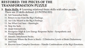## **RESTORED: THE PIECES OF THE TRANSFORMATION PUZZLE**

- **3. Brain Skills** → Learning relational-brain skills with other people. There are 19 skills defined. (CONTINUED)
	- 10. Tell Nonverbal Skills.
	- 11. Return to Joy from the Big 6 Feelings.
	- 12. Act Like Myself in the Big 6 Feelings.
	- 13. See What God Sees Heartsight.
	- 14. Stop the Sark.
	- 15. Quiet Interactively.
	- 16. Recognize High & Low Energy Response Styles Sympathetic and Parasympathetic.
	- 17. Identify Attachment Styles.
	- 18. Intervene Where the Brain is Stuck 5 Distinctive Levels of Brain Disharmony and Pain.
	- 19. Recover from Complex Emotions Handle Combinations of the Big 6 Emotions.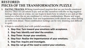### **RESTORED: PIECES OF THE TRANSFORMATION PUZZLE**

- **1. FACING TRAUMA**  $\rightarrow$  Being transformed requires that we can handle emotional trauma. Once we can return to joy and act like ourselves with the six big negative feelings taken one at a time, we can begin to learn how to return to joy and act like ourselves when the six are combined in various combinations. Shame and anger combine to form humiliation. Fear and hopelessness (with almost any other feeling as well) form dread. These combination feelings can be very draining and difficult to quiet.
- 2. 6 Steps to mindfully deal with painful emotions:
	- **1. Step One: Turn toward your emotions with acceptance.**
	- **2. Step Two: Identify and label the emotion.**
	- **3. Step Three: Accept your emotions.**
	- **4. Step Four: Realize the impermanence of your emotions.**
	- **5. Step Five: Inquire and investigate.**
	- **6. Step Six: Let go of the need to control your emotions.**